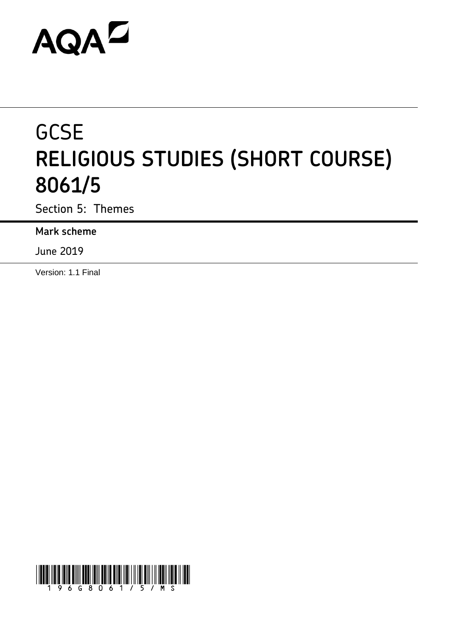# AQAD

# **GCSE RELIGIOUS STUDIES (SHORT COURSE) 8061/5**

Section 5: Themes

**Mark scheme**

June 2019

Version: 1.1 Final

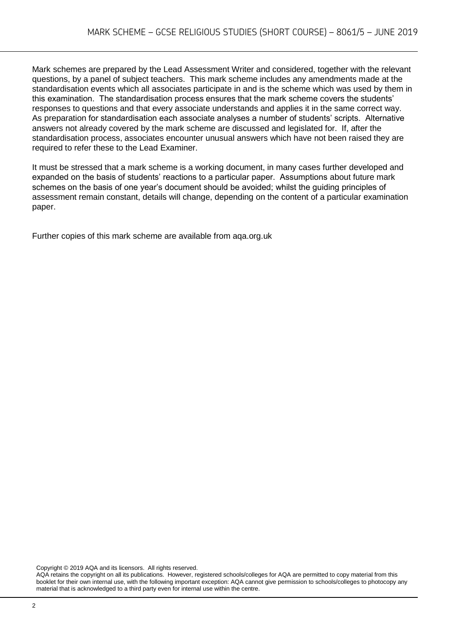Mark schemes are prepared by the Lead Assessment Writer and considered, together with the relevant questions, by a panel of subject teachers. This mark scheme includes any amendments made at the standardisation events which all associates participate in and is the scheme which was used by them in this examination. The standardisation process ensures that the mark scheme covers the students' responses to questions and that every associate understands and applies it in the same correct way. As preparation for standardisation each associate analyses a number of students' scripts. Alternative answers not already covered by the mark scheme are discussed and legislated for. If, after the standardisation process, associates encounter unusual answers which have not been raised they are required to refer these to the Lead Examiner.

It must be stressed that a mark scheme is a working document, in many cases further developed and expanded on the basis of students' reactions to a particular paper. Assumptions about future mark schemes on the basis of one year's document should be avoided; whilst the guiding principles of assessment remain constant, details will change, depending on the content of a particular examination paper.

Further copies of this mark scheme are available from aqa.org.uk

Copyright © 2019 AQA and its licensors. All rights reserved.

AQA retains the copyright on all its publications. However, registered schools/colleges for AQA are permitted to copy material from this booklet for their own internal use, with the following important exception: AQA cannot give permission to schools/colleges to photocopy any material that is acknowledged to a third party even for internal use within the centre.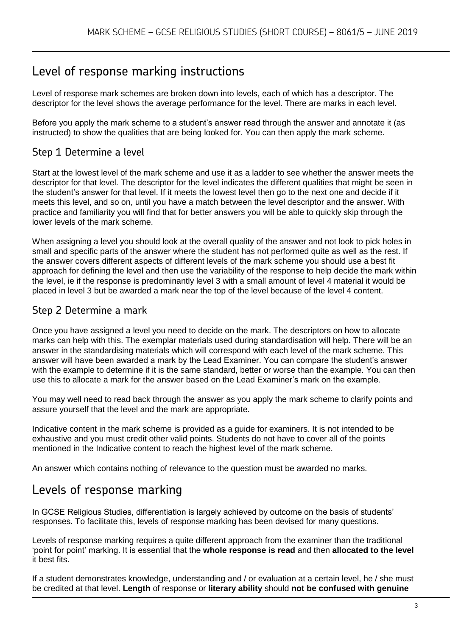# Level of response marking instructions

Level of response mark schemes are broken down into levels, each of which has a descriptor. The descriptor for the level shows the average performance for the level. There are marks in each level.

Before you apply the mark scheme to a student's answer read through the answer and annotate it (as instructed) to show the qualities that are being looked for. You can then apply the mark scheme.

## Step 1 Determine a level

Start at the lowest level of the mark scheme and use it as a ladder to see whether the answer meets the descriptor for that level. The descriptor for the level indicates the different qualities that might be seen in the student's answer for that level. If it meets the lowest level then go to the next one and decide if it meets this level, and so on, until you have a match between the level descriptor and the answer. With practice and familiarity you will find that for better answers you will be able to quickly skip through the lower levels of the mark scheme.

When assigning a level you should look at the overall quality of the answer and not look to pick holes in small and specific parts of the answer where the student has not performed quite as well as the rest. If the answer covers different aspects of different levels of the mark scheme you should use a best fit approach for defining the level and then use the variability of the response to help decide the mark within the level, ie if the response is predominantly level 3 with a small amount of level 4 material it would be placed in level 3 but be awarded a mark near the top of the level because of the level 4 content.

### Step 2 Determine a mark

Once you have assigned a level you need to decide on the mark. The descriptors on how to allocate marks can help with this. The exemplar materials used during standardisation will help. There will be an answer in the standardising materials which will correspond with each level of the mark scheme. This answer will have been awarded a mark by the Lead Examiner. You can compare the student's answer with the example to determine if it is the same standard, better or worse than the example. You can then use this to allocate a mark for the answer based on the Lead Examiner's mark on the example.

You may well need to read back through the answer as you apply the mark scheme to clarify points and assure yourself that the level and the mark are appropriate.

Indicative content in the mark scheme is provided as a guide for examiners. It is not intended to be exhaustive and you must credit other valid points. Students do not have to cover all of the points mentioned in the Indicative content to reach the highest level of the mark scheme.

An answer which contains nothing of relevance to the question must be awarded no marks.

# Levels of response marking

In GCSE Religious Studies, differentiation is largely achieved by outcome on the basis of students' responses. To facilitate this, levels of response marking has been devised for many questions.

Levels of response marking requires a quite different approach from the examiner than the traditional 'point for point' marking. It is essential that the **whole response is read** and then **allocated to the level**  it best fits.

If a student demonstrates knowledge, understanding and / or evaluation at a certain level, he / she must be credited at that level. **Length** of response or **literary ability** should **not be confused with genuine**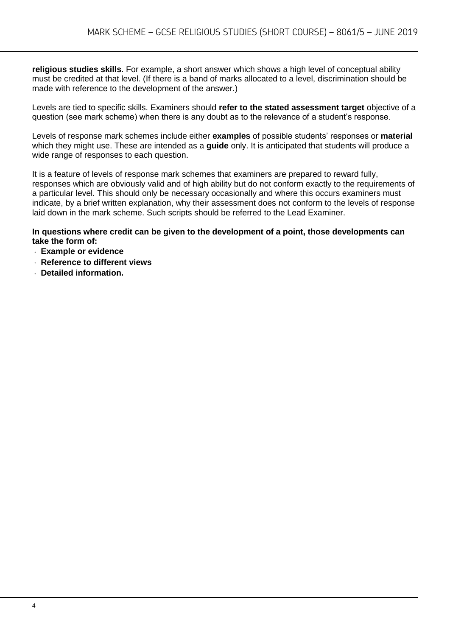**religious studies skills**. For example, a short answer which shows a high level of conceptual ability must be credited at that level. (If there is a band of marks allocated to a level, discrimination should be made with reference to the development of the answer.)

Levels are tied to specific skills. Examiners should **refer to the stated assessment target** objective of a question (see mark scheme) when there is any doubt as to the relevance of a student's response.

Levels of response mark schemes include either **examples** of possible students' responses or **material**  which they might use. These are intended as a **guide** only. It is anticipated that students will produce a wide range of responses to each question.

It is a feature of levels of response mark schemes that examiners are prepared to reward fully, responses which are obviously valid and of high ability but do not conform exactly to the requirements of a particular level. This should only be necessary occasionally and where this occurs examiners must indicate, by a brief written explanation, why their assessment does not conform to the levels of response laid down in the mark scheme. Such scripts should be referred to the Lead Examiner.

**In questions where credit can be given to the development of a point, those developments can take the form of:**

- **Example or evidence**
- **Reference to different views**
- **Detailed information.**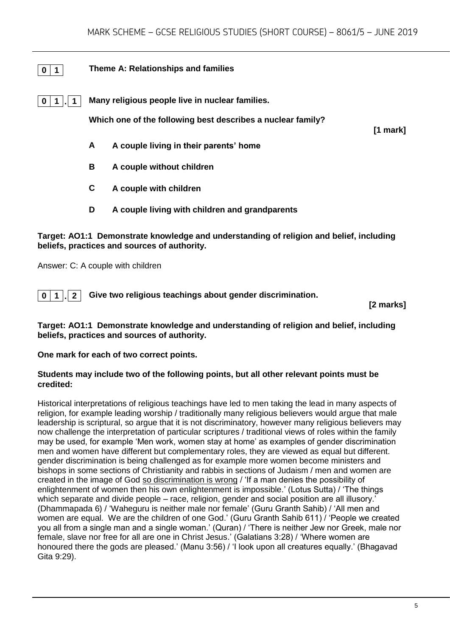#### **0 1 Theme A: Relationships and families**

**0 1 . 1 Many religious people live in nuclear families.**

**Which one of the following best describes a nuclear family?** 

**[1 mark]**

- **A A couple living in their parents' home**
- **B A couple without children**
- **C A couple with children**
- **D A couple living with children and grandparents**

#### **Target: AO1:1 Demonstrate knowledge and understanding of religion and belief, including beliefs, practices and sources of authority.**

Answer: C: A couple with children

**0 1 . 2 Give two religious teachings about gender discrimination.**

**[2 marks]**

#### **Target: AO1:1 Demonstrate knowledge and understanding of religion and belief, including beliefs, practices and sources of authority.**

**One mark for each of two correct points.** 

#### **Students may include two of the following points, but all other relevant points must be credited:**

Historical interpretations of religious teachings have led to men taking the lead in many aspects of religion, for example leading worship / traditionally many religious believers would argue that male leadership is scriptural, so argue that it is not discriminatory, however many religious believers may now challenge the interpretation of particular scriptures / traditional views of roles within the family may be used, for example 'Men work, women stay at home' as examples of gender discrimination men and women have different but complementary roles, they are viewed as equal but different. gender discrimination is being challenged as for example more women become ministers and bishops in some sections of Christianity and rabbis in sections of Judaism / men and women are created in the image of God so discrimination is wrong / 'If a man denies the possibility of enlightenment of women then his own enlightenment is impossible.' (Lotus Sutta) / 'The things which separate and divide people – race, religion, gender and social position are all illusory.' (Dhammapada 6) / 'Waheguru is neither male nor female' (Guru Granth Sahib) / 'All men and women are equal. We are the children of one God.' (Guru Granth Sahib 611) / 'People we created you all from a single man and a single woman.' (Quran) / 'There is neither Jew nor Greek, male nor female, slave nor free for all are one in Christ Jesus.' (Galatians 3:28) / 'Where women are honoured there the gods are pleased.' (Manu 3:56) / 'I look upon all creatures equally.' (Bhagavad Gita 9:29).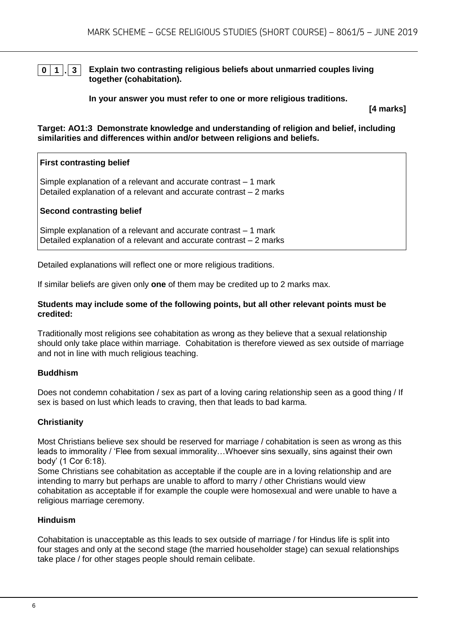#### **0 1 . 3 Explain two contrasting religious beliefs about unmarried couples living together (cohabitation).**

**In your answer you must refer to one or more religious traditions.** 

**[4 marks]**

**Target: AO1:3 Demonstrate knowledge and understanding of religion and belief, including similarities and differences within and/or between religions and beliefs.**

#### **First contrasting belief**

Simple explanation of a relevant and accurate contrast – 1 mark Detailed explanation of a relevant and accurate contrast – 2 marks

#### **Second contrasting belief**

Simple explanation of a relevant and accurate contrast – 1 mark Detailed explanation of a relevant and accurate contrast – 2 marks

Detailed explanations will reflect one or more religious traditions.

If similar beliefs are given only **one** of them may be credited up to 2 marks max.

#### **Students may include some of the following points, but all other relevant points must be credited:**

Traditionally most religions see cohabitation as wrong as they believe that a sexual relationship should only take place within marriage. Cohabitation is therefore viewed as sex outside of marriage and not in line with much religious teaching.

#### **Buddhism**

Does not condemn cohabitation / sex as part of a loving caring relationship seen as a good thing / If sex is based on lust which leads to craving, then that leads to bad karma.

#### **Christianity**

Most Christians believe sex should be reserved for marriage / cohabitation is seen as wrong as this leads to immorality / 'Flee from sexual immorality…Whoever sins sexually, sins against their own body' (1 Cor 6:18).

Some Christians see cohabitation as acceptable if the couple are in a loving relationship and are intending to marry but perhaps are unable to afford to marry / other Christians would view cohabitation as acceptable if for example the couple were homosexual and were unable to have a religious marriage ceremony.

#### **Hinduism**

Cohabitation is unacceptable as this leads to sex outside of marriage / for Hindus life is split into four stages and only at the second stage (the married householder stage) can sexual relationships take place / for other stages people should remain celibate.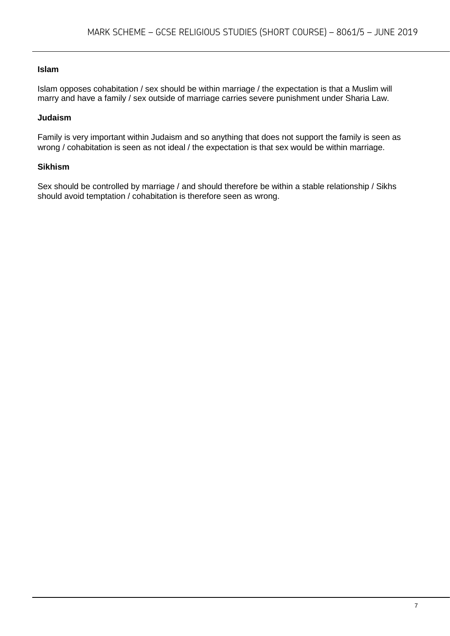#### **Islam**

Islam opposes cohabitation / sex should be within marriage / the expectation is that a Muslim will marry and have a family / sex outside of marriage carries severe punishment under Sharia Law.

#### **Judaism**

Family is very important within Judaism and so anything that does not support the family is seen as wrong / cohabitation is seen as not ideal / the expectation is that sex would be within marriage.

#### **Sikhism**

Sex should be controlled by marriage / and should therefore be within a stable relationship / Sikhs should avoid temptation / cohabitation is therefore seen as wrong.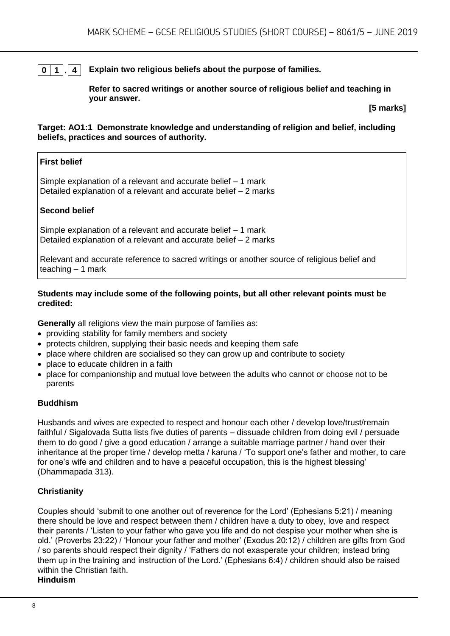#### **0 1 . 4 Explain two religious beliefs about the purpose of families.**

**Refer to sacred writings or another source of religious belief and teaching in your answer.**

**[5 marks]**

#### **Target: AO1:1 Demonstrate knowledge and understanding of religion and belief, including beliefs, practices and sources of authority.**

#### **First belief**

Simple explanation of a relevant and accurate belief – 1 mark Detailed explanation of a relevant and accurate belief – 2 marks

#### **Second belief**

Simple explanation of a relevant and accurate belief – 1 mark Detailed explanation of a relevant and accurate belief – 2 marks

Relevant and accurate reference to sacred writings or another source of religious belief and teaching  $-1$  mark

#### **Students may include some of the following points, but all other relevant points must be credited:**

**Generally** all religions view the main purpose of families as:

- providing stability for family members and society
- protects children, supplying their basic needs and keeping them safe
- place where children are socialised so they can grow up and contribute to society
- place to educate children in a faith
- place for companionship and mutual love between the adults who cannot or choose not to be parents

#### **Buddhism**

Husbands and wives are expected to respect and honour each other / develop love/trust/remain faithful / Sigalovada Sutta lists five duties of parents – dissuade children from doing evil / persuade them to do good / give a good education / arrange a suitable marriage partner / hand over their inheritance at the proper time / develop metta / karuna / 'To support one's father and mother, to care for one's wife and children and to have a peaceful occupation, this is the highest blessing' (Dhammapada 313).

#### **Christianity**

Couples should 'submit to one another out of reverence for the Lord' (Ephesians 5:21) / meaning there should be love and respect between them / children have a duty to obey, love and respect their parents / 'Listen to your father who gave you life and do not despise your mother when she is old.' (Proverbs 23:22) / 'Honour your father and mother' (Exodus 20:12) / children are gifts from God / so parents should respect their dignity / 'Fathers do not exasperate your children; instead bring them up in the training and instruction of the Lord.' (Ephesians 6:4) / children should also be raised within the Christian faith.

#### **Hinduism**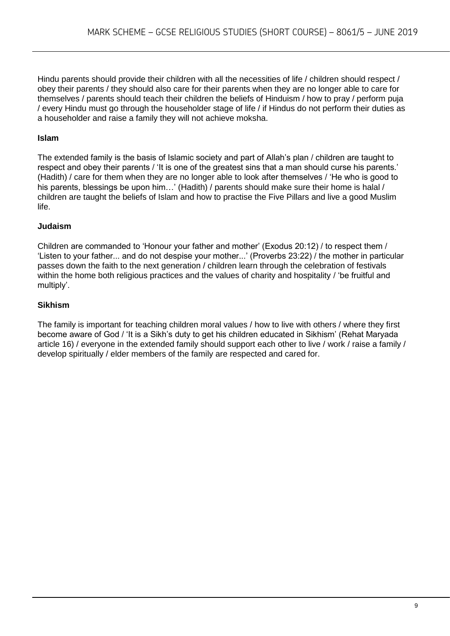Hindu parents should provide their children with all the necessities of life / children should respect / obey their parents / they should also care for their parents when they are no longer able to care for themselves / parents should teach their children the beliefs of Hinduism / how to pray / perform puja / every Hindu must go through the householder stage of life / if Hindus do not perform their duties as a householder and raise a family they will not achieve moksha.

#### **Islam**

The extended family is the basis of Islamic society and part of Allah's plan / children are taught to respect and obey their parents / 'It is one of the greatest sins that a man should curse his parents.' (Hadith) / care for them when they are no longer able to look after themselves / 'He who is good to his parents, blessings be upon him...' (Hadith) / parents should make sure their home is halal / children are taught the beliefs of Islam and how to practise the Five Pillars and live a good Muslim life.

#### **Judaism**

Children are commanded to 'Honour your father and mother' (Exodus 20:12) / to respect them / 'Listen to your father... and do not despise your mother...' (Proverbs 23:22) / the mother in particular passes down the faith to the next generation / children learn through the celebration of festivals within the home both religious practices and the values of charity and hospitality / 'be fruitful and multiply'.

#### **Sikhism**

The family is important for teaching children moral values / how to live with others / where they first become aware of God / 'It is a Sikh's duty to get his children educated in Sikhism' (Rehat Maryada article 16) / everyone in the extended family should support each other to live / work / raise a family / develop spiritually / elder members of the family are respected and cared for.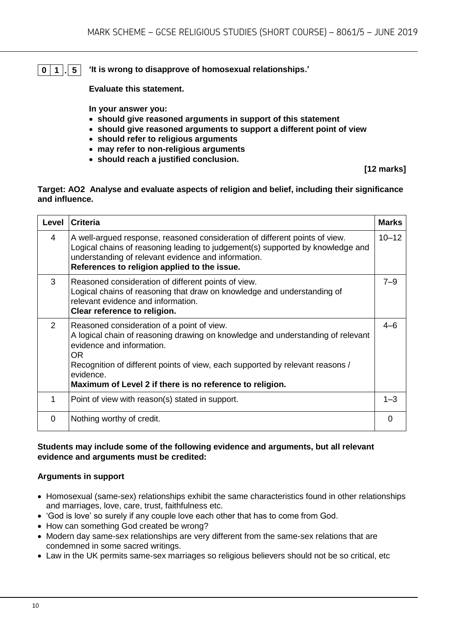# **0 1 . 5 'It is wrong to disapprove of homosexual relationships.'**

**Evaluate this statement.** 

**In your answer you:** 

- **should give reasoned arguments in support of this statement**
- **should give reasoned arguments to support a different point of view**
- **should refer to religious arguments**
- **may refer to non-religious arguments**
- **should reach a justified conclusion.**

**[12 marks]**

#### **Target: AO2 Analyse and evaluate aspects of religion and belief, including their significance and influence.**

| Level    | <b>Criteria</b>                                                                                                                                                                                                                                                                                                             | <b>Marks</b> |
|----------|-----------------------------------------------------------------------------------------------------------------------------------------------------------------------------------------------------------------------------------------------------------------------------------------------------------------------------|--------------|
| 4        | A well-argued response, reasoned consideration of different points of view.<br>Logical chains of reasoning leading to judgement(s) supported by knowledge and<br>understanding of relevant evidence and information.<br>References to religion applied to the issue.                                                        | $10 - 12$    |
| 3        | Reasoned consideration of different points of view.<br>Logical chains of reasoning that draw on knowledge and understanding of<br>relevant evidence and information.<br>Clear reference to religion.                                                                                                                        | $7 - 9$      |
| 2        | Reasoned consideration of a point of view.<br>A logical chain of reasoning drawing on knowledge and understanding of relevant<br>evidence and information.<br>OR.<br>Recognition of different points of view, each supported by relevant reasons /<br>evidence.<br>Maximum of Level 2 if there is no reference to religion. | $4 - 6$      |
| 1        | Point of view with reason(s) stated in support.                                                                                                                                                                                                                                                                             | $1 - 3$      |
| $\Omega$ | Nothing worthy of credit.                                                                                                                                                                                                                                                                                                   | $\Omega$     |

#### **Students may include some of the following evidence and arguments, but all relevant evidence and arguments must be credited:**

#### **Arguments in support**

- Homosexual (same-sex) relationships exhibit the same characteristics found in other relationships and marriages, love, care, trust, faithfulness etc.
- 'God is love' so surely if any couple love each other that has to come from God.
- How can something God created be wrong?
- Modern day same-sex relationships are very different from the same-sex relations that are condemned in some sacred writings.
- Law in the UK permits same-sex marriages so religious believers should not be so critical, etc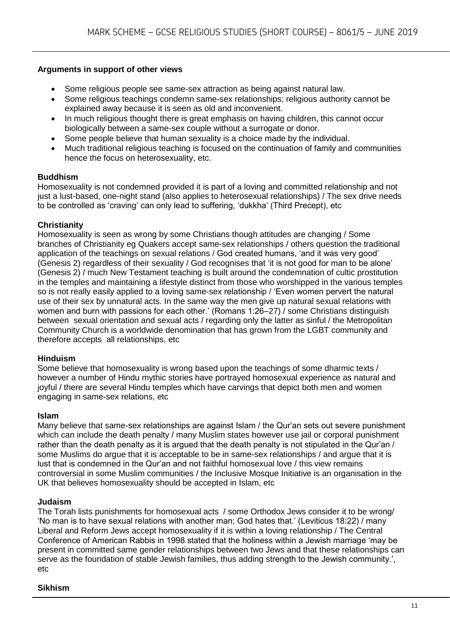#### **Arguments in support of other views**

- Some religious people see same-sex attraction as being against natural law.
- Some religious teachings condemn same-sex relationships; religious authority cannot be explained away because it is seen as old and inconvenient.
- In much religious thought there is great emphasis on having children, this cannot occur biologically between a same-sex couple without a surrogate or donor.
- Some people believe that human sexuality is a choice made by the individual.
- Much traditional religious teaching is focused on the continuation of family and communities hence the focus on heterosexuality, etc.

#### **Buddhism**

Homosexuality is not condemned provided it is part of a loving and committed relationship and not just a lust-based, one-night stand (also applies to heterosexual relationships) / The sex drive needs to be controlled as 'craving' can only lead to suffering, 'dukkha' (Third Precept), etc

#### **Christianity**

Homosexuality is seen as wrong by some Christians though attitudes are changing / Some branches of Christianity eg Quakers accept same-sex relationships / others question the traditional application of the teachings on sexual relations / God created humans, 'and it was very good' (Genesis 2) regardless of their sexuality / God recognises that 'it is not good for man to be alone' (Genesis 2) / much New Testament teaching is built around the condemnation of cultic prostitution in the temples and maintaining a lifestyle distinct from those who worshipped in the various temples so is not really easily applied to a loving same-sex relationship / 'Even women pervert the natural use of their sex by unnatural acts. In the same way the men give up natural sexual relations with women and burn with passions for each other.' (Romans 1:26–27) / some Christians distinguish between sexual orientation and sexual acts / regarding only the latter as sinful / the Metropolitan Community Church is a worldwide denomination that has grown from the LGBT community and therefore accepts all relationships, etc

#### **Hinduism**

Some believe that homosexuality is wrong based upon the teachings of some dharmic texts / however a number of Hindu mythic stories have portrayed homosexual experience as natural and joyful / there are several Hindu temples which have carvings that depict both men and women engaging in same-sex relations, etc

#### **Islam**

Many believe that same-sex relationships are against Islam / the Qur'an sets out severe punishment which can include the death penalty / many Muslim states however use jail or corporal punishment rather than the death penalty as it is argued that the death penalty is not stipulated in the Qur'an / some Muslims do argue that it is acceptable to be in same-sex relationships / and argue that it is lust that is condemned in the Qur'an and not faithful homosexual love / this view remains controversial in some Muslim communities / the Inclusive Mosque Initiative is an organisation in the UK that believes homosexuality should be accepted in Islam, etc

#### **Judaism**

The Torah lists punishments for homosexual acts / some Orthodox Jews consider it to be wrong/ 'No man is to have sexual relations with another man; God hates that.' (Leviticus 18:22) / many Liberal and Reform Jews accept homosexuality if it is within a loving relationship / The Central Conference of American Rabbis in 1998 stated that the holiness within a Jewish marriage 'may be present in committed same gender relationships between two Jews and that these relationships can serve as the foundation of stable Jewish families, thus adding strength to the Jewish community.', etc

#### **Sikhism**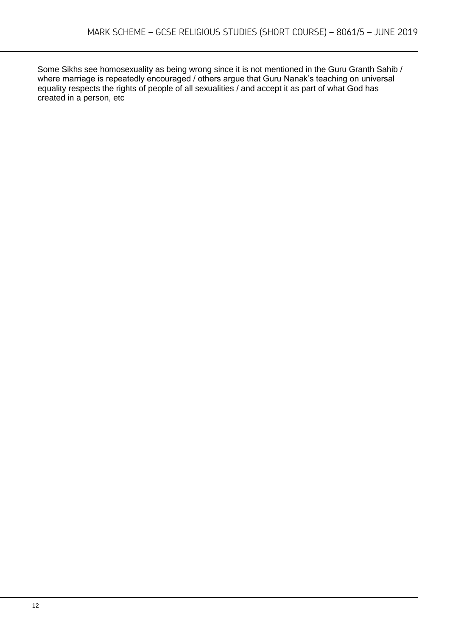Some Sikhs see homosexuality as being wrong since it is not mentioned in the Guru Granth Sahib / where marriage is repeatedly encouraged / others argue that Guru Nanak's teaching on universal equality respects the rights of people of all sexualities / and accept it as part of what God has created in a person, etc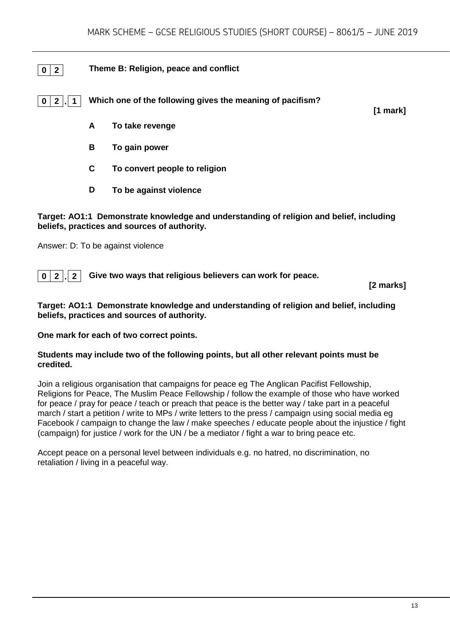#### **0 2 Theme B: Religion, peace and conflict**

**0 2 . 1 Which one of the following gives the meaning of pacifism?**

**[1 mark]**

- **A To take revenge**
- **B To gain power**
- **C To convert people to religion**
- **D To be against violence**

#### **Target: AO1:1 Demonstrate knowledge and understanding of religion and belief, including beliefs, practices and sources of authority.**

Answer: D: To be against violence

**0 2 . 2 Give two ways that religious believers can work for peace.**

**[2 marks]**

#### **Target: AO1:1 Demonstrate knowledge and understanding of religion and belief, including beliefs, practices and sources of authority.**

**One mark for each of two correct points.** 

#### **Students may include two of the following points, but all other relevant points must be credited.**

Join a religious organisation that campaigns for peace eg The Anglican Pacifist Fellowship, Religions for Peace, The Muslim Peace Fellowship / follow the example of those who have worked for peace / pray for peace / teach or preach that peace is the better way / take part in a peaceful march / start a petition / write to MPs / write letters to the press / campaign using social media eg Facebook / campaign to change the law / make speeches / educate people about the injustice / fight (campaign) for justice / work for the UN / be a mediator / fight a war to bring peace etc.

Accept peace on a personal level between individuals e.g. no hatred, no discrimination, no retaliation / living in a peaceful way.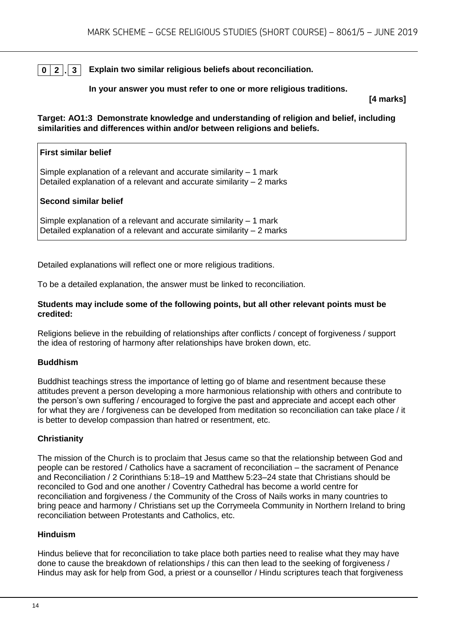#### **0 2 . 3 Explain two similar religious beliefs about reconciliation.**

#### **In your answer you must refer to one or more religious traditions.**

**[4 marks]**

**Target: AO1:3 Demonstrate knowledge and understanding of religion and belief, including similarities and differences within and/or between religions and beliefs.**

| <b>First similar belief</b>                                                                                                                |
|--------------------------------------------------------------------------------------------------------------------------------------------|
| Simple explanation of a relevant and accurate similarity $-1$ mark<br>Detailed explanation of a relevant and accurate similarity – 2 marks |
| <b>Second similar belief</b>                                                                                                               |
| Simple explanation of a relevant and accurate similarity – 1 mark                                                                          |

Detailed explanation of a relevant and accurate similarity – 2 marks

Detailed explanations will reflect one or more religious traditions.

To be a detailed explanation, the answer must be linked to reconciliation.

#### **Students may include some of the following points, but all other relevant points must be credited:**

Religions believe in the rebuilding of relationships after conflicts / concept of forgiveness / support the idea of restoring of harmony after relationships have broken down, etc.

#### **Buddhism**

Buddhist teachings stress the importance of letting go of blame and resentment because these attitudes prevent a person developing a more harmonious relationship with others and contribute to the person's own suffering / encouraged to forgive the past and appreciate and accept each other for what they are / forgiveness can be developed from meditation so reconciliation can take place / it is better to develop compassion than hatred or resentment, etc.

#### **Christianity**

The mission of the Church is to proclaim that Jesus came so that the relationship between God and people can be restored / Catholics have a sacrament of reconciliation – the sacrament of Penance and Reconciliation / 2 Corinthians 5:18–19 and Matthew 5:23–24 state that Christians should be reconciled to God and one another / Coventry Cathedral has become a world centre for reconciliation and forgiveness / the Community of the Cross of Nails works in many countries to bring peace and harmony / Christians set up the Corrymeela Community in Northern Ireland to bring reconciliation between Protestants and Catholics, etc.

#### **Hinduism**

Hindus believe that for reconciliation to take place both parties need to realise what they may have done to cause the breakdown of relationships / this can then lead to the seeking of forgiveness / Hindus may ask for help from God, a priest or a counsellor / Hindu scriptures teach that forgiveness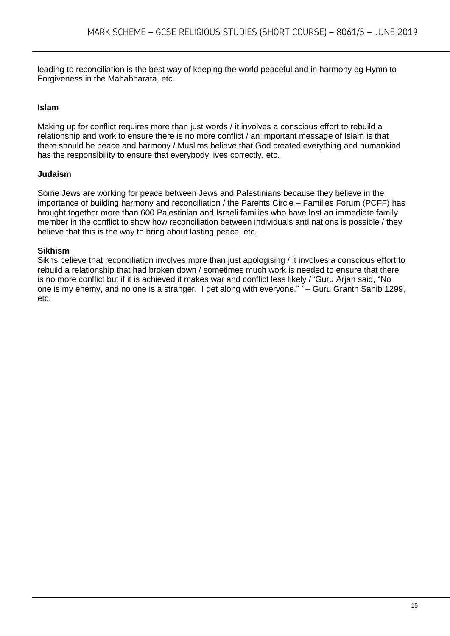leading to reconciliation is the best way of keeping the world peaceful and in harmony eg Hymn to Forgiveness in the Mahabharata, etc.

#### **Islam**

Making up for conflict requires more than just words / it involves a conscious effort to rebuild a relationship and work to ensure there is no more conflict / an important message of Islam is that there should be peace and harmony / Muslims believe that God created everything and humankind has the responsibility to ensure that everybody lives correctly, etc.

#### **Judaism**

Some Jews are working for peace between Jews and Palestinians because they believe in the importance of building harmony and reconciliation / the Parents Circle – Families Forum (PCFF) has brought together more than 600 Palestinian and Israeli families who have lost an immediate family member in the conflict to show how reconciliation between individuals and nations is possible / they believe that this is the way to bring about lasting peace, etc.

#### **Sikhism**

Sikhs believe that reconciliation involves more than just apologising / it involves a conscious effort to rebuild a relationship that had broken down / sometimes much work is needed to ensure that there is no more conflict but if it is achieved it makes war and conflict less likely / 'Guru Arjan said, "No one is my enemy, and no one is a stranger. I get along with everyone." ' – Guru Granth Sahib 1299, etc.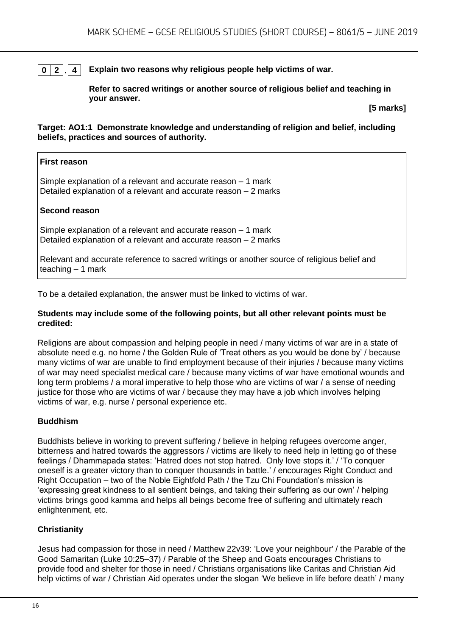#### **0 2 . 4 Explain two reasons why religious people help victims of war.**

**Refer to sacred writings or another source of religious belief and teaching in your answer.**

**[5 marks]**

#### **Target: AO1:1 Demonstrate knowledge and understanding of religion and belief, including beliefs, practices and sources of authority.**

#### **First reason**

Simple explanation of a relevant and accurate reason – 1 mark Detailed explanation of a relevant and accurate reason – 2 marks

#### **Second reason**

Simple explanation of a relevant and accurate reason – 1 mark Detailed explanation of a relevant and accurate reason – 2 marks

Relevant and accurate reference to sacred writings or another source of religious belief and teaching  $-1$  mark

To be a detailed explanation, the answer must be linked to victims of war.

#### **Students may include some of the following points, but all other relevant points must be credited:**

Religions are about compassion and helping people in need / many victims of war are in a state of absolute need e.g. no home / the Golden Rule of 'Treat others as you would be done by' / because many victims of war are unable to find employment because of their injuries / because many victims of war may need specialist medical care / because many victims of war have emotional wounds and long term problems / a moral imperative to help those who are victims of war / a sense of needing justice for those who are victims of war / because they may have a job which involves helping victims of war, e.g. nurse / personal experience etc.

#### **Buddhism**

Buddhists believe in working to prevent suffering / believe in helping refugees overcome anger, bitterness and hatred towards the aggressors / victims are likely to need help in letting go of these feelings / Dhammapada states: 'Hatred does not stop hatred. Only love stops it.' / 'To conquer oneself is a greater victory than to conquer thousands in battle.' / encourages Right Conduct and Right Occupation – two of the Noble Eightfold Path / the Tzu Chi Foundation's mission is 'expressing great kindness to all sentient beings, and taking their suffering as our own' / helping victims brings good kamma and helps all beings become free of suffering and ultimately reach enlightenment, etc.

#### **Christianity**

Jesus had compassion for those in need / Matthew 22v39: 'Love your neighbour' / the Parable of the Good Samaritan (Luke 10:25–37) / Parable of the Sheep and Goats encourages Christians to provide food and shelter for those in need / Christians organisations like Caritas and Christian Aid help victims of war / Christian Aid operates under the slogan 'We believe in life before death' / many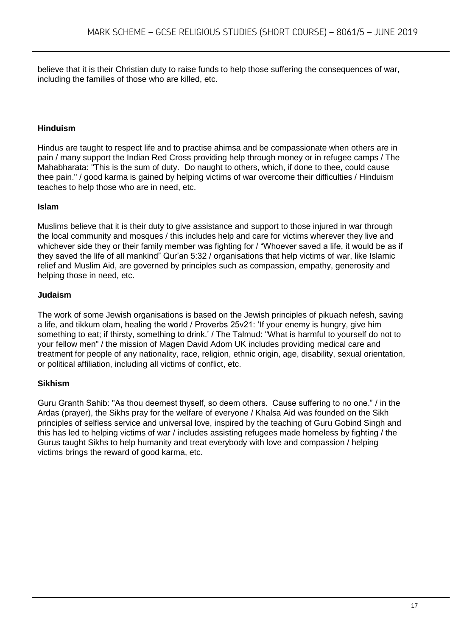believe that it is their Christian duty to raise funds to help those suffering the consequences of war, including the families of those who are killed, etc.

#### **Hinduism**

Hindus are taught to respect life and to practise ahimsa and be compassionate when others are in pain / many support the Indian Red Cross providing help through money or in refugee camps / The Mahabharata: "This is the sum of duty. Do naught to others, which, if done to thee, could cause thee pain." / good karma is gained by helping victims of war overcome their difficulties / Hinduism teaches to help those who are in need, etc.

#### **Islam**

Muslims believe that it is their duty to give assistance and support to those injured in war through the local community and mosques / this includes help and care for victims wherever they live and whichever side they or their family member was fighting for / "Whoever saved a life, it would be as if they saved the life of all mankind" Qur'an 5:32 / organisations that help victims of war, like Islamic relief and Muslim Aid, are governed by principles such as compassion, empathy, generosity and helping those in need, etc.

#### **Judaism**

The work of some Jewish organisations is based on the Jewish principles of pikuach nefesh, saving a life, and tikkum olam, healing the world / Proverbs 25v21: 'If your enemy is hungry, give him something to eat; if thirsty, something to drink.' / The Talmud: "What is harmful to yourself do not to your fellow men" / the mission of Magen David Adom UK includes providing medical care and treatment for people of any nationality, race, religion, ethnic origin, age, disability, sexual orientation, or political affiliation, including all victims of conflict, etc.

#### **Sikhism**

Guru Granth Sahib: "As thou deemest thyself, so deem others. Cause suffering to no one." / in the Ardas (prayer), the Sikhs pray for the welfare of everyone / Khalsa Aid was founded on the Sikh principles of selfless service and universal love, inspired by the teaching of Guru Gobind Singh and this has led to helping victims of war / includes assisting refugees made homeless by fighting / the Gurus taught Sikhs to help humanity and treat everybody with love and compassion / helping victims brings the reward of good karma, etc.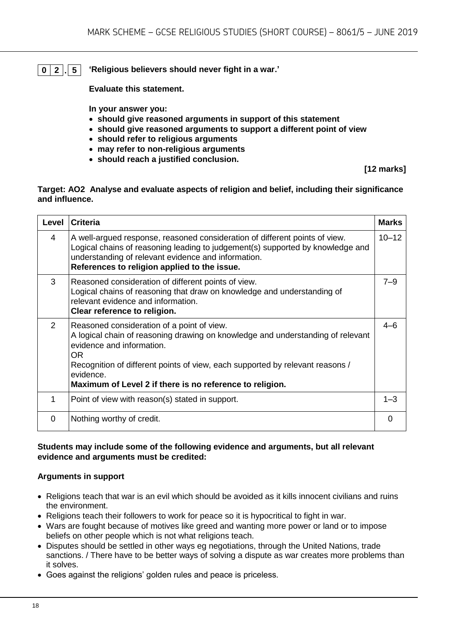**0 2 . 5 'Religious believers should never fight in a war.'**

**Evaluate this statement.** 

**In your answer you:** 

- **should give reasoned arguments in support of this statement**
- **should give reasoned arguments to support a different point of view**
- **should refer to religious arguments**
- **may refer to non-religious arguments**
- **should reach a justified conclusion.**

**[12 marks]**

#### **Target: AO2 Analyse and evaluate aspects of religion and belief, including their significance and influence.**

| Level    | <b>Criteria</b>                                                                                                                                                                                                                                                                                                             | <b>Marks</b> |
|----------|-----------------------------------------------------------------------------------------------------------------------------------------------------------------------------------------------------------------------------------------------------------------------------------------------------------------------------|--------------|
| 4        | A well-argued response, reasoned consideration of different points of view.<br>Logical chains of reasoning leading to judgement(s) supported by knowledge and<br>understanding of relevant evidence and information.<br>References to religion applied to the issue.                                                        | $10 - 12$    |
| 3        | Reasoned consideration of different points of view.<br>Logical chains of reasoning that draw on knowledge and understanding of<br>relevant evidence and information.<br>Clear reference to religion.                                                                                                                        | $7 - 9$      |
| 2        | Reasoned consideration of a point of view.<br>A logical chain of reasoning drawing on knowledge and understanding of relevant<br>evidence and information.<br>OR.<br>Recognition of different points of view, each supported by relevant reasons /<br>evidence.<br>Maximum of Level 2 if there is no reference to religion. | $4 - 6$      |
| 1        | Point of view with reason(s) stated in support.                                                                                                                                                                                                                                                                             | $1 - 3$      |
| $\Omega$ | Nothing worthy of credit.                                                                                                                                                                                                                                                                                                   | $\Omega$     |

#### **Students may include some of the following evidence and arguments, but all relevant evidence and arguments must be credited:**

#### **Arguments in support**

- Religions teach that war is an evil which should be avoided as it kills innocent civilians and ruins the environment.
- Religions teach their followers to work for peace so it is hypocritical to fight in war.
- Wars are fought because of motives like greed and wanting more power or land or to impose beliefs on other people which is not what religions teach.
- Disputes should be settled in other ways eg negotiations, through the United Nations, trade sanctions. / There have to be better ways of solving a dispute as war creates more problems than it solves.
- Goes against the religions' golden rules and peace is priceless.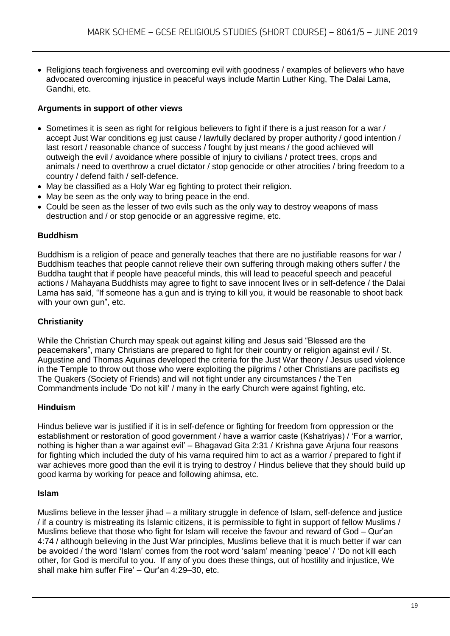• Religions teach forgiveness and overcoming evil with goodness / examples of believers who have advocated overcoming injustice in peaceful ways include Martin Luther King, The Dalai Lama, Gandhi, etc.

#### **Arguments in support of other views**

- Sometimes it is seen as right for religious believers to fight if there is a just reason for a war / accept Just War conditions eg just cause / lawfully declared by proper authority / good intention / last resort / reasonable chance of success / fought by just means / the good achieved will outweigh the evil / avoidance where possible of injury to civilians / protect trees, crops and animals / need to overthrow a cruel dictator / stop genocide or other atrocities / bring freedom to a country / defend faith / self-defence.
- May be classified as a Holy War eg fighting to protect their religion.
- May be seen as the only way to bring peace in the end.
- Could be seen as the lesser of two evils such as the only way to destroy weapons of mass destruction and / or stop genocide or an aggressive regime, etc.

#### **Buddhism**

Buddhism is a religion of peace and generally teaches that there are no justifiable reasons for war / Buddhism teaches that people cannot relieve their own suffering through making others suffer / the Buddha taught that if people have peaceful minds, this will lead to peaceful speech and peaceful actions / Mahayana Buddhists may agree to fight to save innocent lives or in self-defence / the Dalai Lama has said, "If someone has a gun and is trying to kill you, it would be reasonable to shoot back with your own gun", etc.

#### **Christianity**

While the Christian Church may speak out against killing and Jesus said "Blessed are the peacemakers", many Christians are prepared to fight for their country or religion against evil / St. Augustine and Thomas Aquinas developed the criteria for the Just War theory / Jesus used violence in the Temple to throw out those who were exploiting the pilgrims / other Christians are pacifists eg The Quakers (Society of Friends) and will not fight under any circumstances / the Ten Commandments include 'Do not kill' / many in the early Church were against fighting, etc.

#### **Hinduism**

Hindus believe war is justified if it is in self-defence or fighting for freedom from oppression or the establishment or restoration of good government / have a warrior caste (Kshatriyas) / 'For a warrior, nothing is higher than a war against evil' – Bhagavad Gita 2:31 / Krishna gave Arjuna four reasons for fighting which included the duty of his varna required him to act as a warrior / prepared to fight if war achieves more good than the evil it is trying to destroy / Hindus believe that they should build up good karma by working for peace and following ahimsa, etc.

#### **Islam**

Muslims believe in the lesser jihad – a military struggle in defence of Islam, self-defence and justice / if a country is mistreating its Islamic citizens, it is permissible to fight in support of fellow Muslims / Muslims believe that those who fight for Islam will receive the favour and reward of God – Qur'an 4:74 / although believing in the Just War principles, Muslims believe that it is much better if war can be avoided / the word 'Islam' comes from the root word 'salam' meaning 'peace' / 'Do not kill each other, for God is merciful to you. If any of you does these things, out of hostility and injustice, We shall make him suffer Fire' – Qur'an 4:29–30, etc.